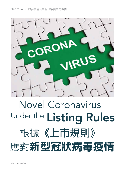

# Novel Coronavirus Under the Listing Rules 根據**《上市規則》** 應對新型冠狀病毒疫情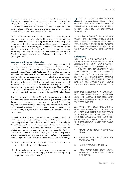I subsequently named by the World Health Organization ("WHO") as n early January 2020, an outbreak of novel coronavirus — SARS-CoV-2 and its related disease Covid-19 — occurred in Wuhan city, Mainland China, which at the time of writing, quickly spread to all parts of China and to other parts of the world, leading to more than 720,000 infections and more than 34,000 deaths.

The Covid-19 outbreak also led to travel restrictions being imposed and the lockdown of many Mainland China cities. At the same time, factories have been closed resulting in serious disruption to global supply chains. The situation has had a significant impact on companies doing business and operating in Mainland China and countries affected by the Covid-19 outbreak. This article provides a review on the regulatory implications for those companies affected by the Covid-19 outbreak under the Listing Rules of the Hong Kong Stock Exchange ("HKEX").

## **Disclosure of Financial Information**

Under MBLR 13.49 (6) and (1), a Main Board listed company is required to announce its preliminary results for the half year within two months, and for full year within three months, after the end of the relevant financial period. Under MBLR 13.48 and 13.46, a listed company is required to distribute to its shareholders the interim report within three months and its annual report within four months. If a listed company fails to publish its financial information in accordance with the Main Board Listing Rules, the HKEX will normally require suspension of trading of the listed securities under MBLR 13.50 leading to a possible delisting if the suspension is more than 18 months under MBLR 6.01A(1). Companies listed on GEM are subject to similar financial reporting suspension and delisting requirements under the GEM Listing Rules.

Due to the outbreak of Covid-19 in China, particularly in Hubei province where many cities are locked-down to prevent the spread of the virus, many roads are closed and travel is restricted. The situation may lead to serious disruption on the reporting process on the part of listed companies, and auditing process on the part of the auditors, that collectively may delay the disclosure of financial information under the Listing Rules.

On 4 February 2020, the Securities and Futures Commission ("SFC") and HKEX issued a joint statement ("Joint Statement") to give guidance to listed companies and their auditors in relation to the possible delay in the publication of financial information due to the Covid-19 outbreak. In the Joint Statement, it is noted that the impact of the outbreak on a listed company and its auditors' work will vary according to their individual circumstances. If a listed company is not able to comply with its disclosure requirement, it should consult the HKEX as early as possible and should provide the HKEX with, to the extent possible, the following:

- (a) a description of the travel and other restrictions which have affected its auditing or reporting process;
- (b) where available, an account of why these restrictions have meant that it is unable to comply with the relevant reporting requirements under the Listing Rules;

2020<sup>年</sup>1月初,在中國內地武漢市爆發新型冠狀病 毒疫情,其後世界衛生組織(「世衛」)將該病 毒命名為沙士冠狀病毒2型,其相關疾病名稱為2019 冠狀病毒。疫情迅速蔓延至中國各地及全球其他地 區,截稿時,已造成超過720,000宗感染個案及逾 34,000人死亡。

新型冠狀病毒疫情亦導致旅遊限制及中國內地多個 城市封城。同時,工廠關閉令全球供應鏈受到嚴重 影響。上述情況對在中國內地營商及經營業務的公 司以及受新型冠狀病毒疫情影響的國家構成嚴重影 響。本文探討香港聯合交易所(「聯交所」)《上市 規則》對受新型冠狀病毒疫情影響的公司的監管影 響。

### **財務資料披露**

根據《主板上市規則》第 13.49(6) 和 (1) 條,主板上 市公司必須在相關財務期結束後的2個月內公布半 年度初步業績,並在3個月內公布全年初步業績。 根據《主板上市規則》第13.48 條及第13.46 條, 上市公司必須在 3個及4個月內向其股東發送中期報 告及年報。若上市公司未能按照《主板上市規則》 發表財務資料,則聯交所一般會根據《主板上市規 則》第13.50 條要求該上市證券停牌,若停牌超過 18個月,則可根據《主板上市規則》第 6.01A(1) 條 將證券除牌。根據《創業板上市規則》,在創業板 上市的公司須遵守類似的財務報告停牌及除牌要 求。

由於中國爆發新型冠狀病毒疫情,尤其是在湖北省, 多個城市透過封城防止病毒傳播,多條道路被封鎖, 外遊受到限制。上述情況可能會嚴重影響上市公司的 匯報程序及核數師的審計程序,並可能延遲《上市規 則》規定的財務資料披露。

2020年2月4日,證券及期貨事務監察委員會(「證 監會」)與聯交所發表聯合聲明(「聯合聲明」), 就上市公司及其核數師因新型冠狀病毒疫情而可能延 運發表財務資料提供指引。聯合聲明指出,疫情對上 市公司及其核數師的工作造成的影響,會因應它們的 個別情況而有所不同。若上市公司無法遵從披露要 求,則應盡早諮詢聯交所,並在可行的情況下向聯交 所提供以下資料:

- (a) 有關旅遊及其他限制對其審核或匯報程序造成 的影響;
- (b) 該等限制如何使其無法遵從《上市規則》所載 的相關匯報規定(如有);
- (c) 上市公司仍然能夠匯報的財務資料;及
- (d) 解釋仍可提供的財務資料的準確性、完整性及 表達性有否因此而受到不利影響及(如有)相 關受影響的程度。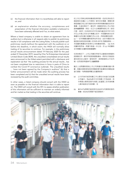- (c) the financial information that it is nevertheless still able to report on; and
- (d) an explanation whether the accuracy, completeness and presentation of the financial information available is believed to have been adversely affected and if so, to what extent.

Where a listed company is unable to obtain an agreement from its auditors but is otherwise in all respects able to publish its preliminary results in full compliance with the Listing Rules, it should publish such preliminary results (without the agreement with the auditors) on or before the deadline, in which event, the HKEX will normally allow trading of its securities to continue. For example, in the preliminary annual results announcement dated 19 February 2020 for the year ended 31 December 2019, issued by Chia Tai Enterprises International Limited (Stock Code:3839), the unaudited consolidated annual results were announced to the fullest extent permitted with a disclosure and explanation (a) that "the auditing process for the annual results…has not been completed due to restrictions in force in parts of China to combat the Covid-19 coronavirus outbreak. The unaudited results … have not been agreed by the Company's auditors" (b) that a further announcement will be made when the auditing process has been completed and (c) that the unaudited annual results have been reviewed by the audit committee.

In other cases, a listed company should consult with the HKEX as soon as possible on the financial information that it is able to report on. The HKEX will consult with the SFC to assess whether publication of this information will be sufficient to maintain an orderly informed and fair market so that trading in the securities will continue.

如上市公司無法與其核數師取得同意,但卻在其他各方 面能夠完全遵從《上市規則》發布初步業績,便應在限 期屆滿當日或之前刊發該份尚未與其核數師議定的初步 業績。在這些情況下,聯交所一般會容許該上市公司的 證券繼續買賣。例如,在正大企業國際有限公司(股份 代號:3839)於2020年2月19日發布截至2019年12月 31日止年度之初步全年業績公告中,未經審核綜合全年 業績在允許的最大範圍內予以公告,同時披露及說明: (a)「…全年業績的審核程序尚未完成,由於中國部分地 區因對抗新型冠狀病毒 (COVID-2019) 而實施限制。… 未經審核業績尚未取得本公司核數師同意」;(b) 在完 成審核程序後,將會刊發進一步公告;及 (c) 未經審核 全年業績已由審核委員會審閱。

在其他情況下,上市公司應及早就可以匯報的財務資料 諮詢聯交所。聯交所經諮詢證監會後,將評估刊發這些 資料是否足以維持一個有秩序、信息靈通和公平的市 場,從而使該等證券可以繼續買賣。

鑑於上述問題對香港上市公司商會的成員構成重大影 響,商會近期對新型冠狀病毒疫情可能導致的核數延誤 進行調查。有兩個值得關注的重要發現:

- (a) 以12月為年結而核數工作主要在內地進行的回應 公司當中,有65%表示今年核數工作有延誤。其 中兩個主要原因是內地員工延遲復工及本港核數 人員未能前往內地核數;及
- (b) 當中47%預期仍能按時在2020年3月期限前發布 業績,約53%則預期不能如期發布。

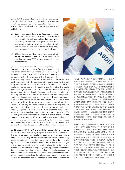Given that this issue affects its members significantly, The Chamber of Hong Kong Listed Companies has recently conducted a survey on possible audit delay due to the Covid-19 outbreak. Two key findings are worth highlighting:

- (a) 65% of the respondents with December financial year end and whose audit works are mostly conducted in the mainland believe that there would be a delay in their audit this year. The two most attributable factors are delay in mainland staff getting back to work and difficulty of Hong Kong audit personnel in travelling to the mainland; and
- (b) 47% of these respondents expect that they will still be able to announce their results by March 2020 deadline but some 53% of them expect that they cannot comply.

On 28 February 2020, the HKEX issued Frequently Asked Questions ("FAQs") to provide further guidance on the application of the Joint Statement. Under the FAQs, if the listed company is able to publish the preliminary announcement without agreement with auditors, the

listed company may include (a) a statement that the results have not been agreed with the auditors; (b) an explanation for the lack of agreement with the auditors and the expected date that the results may be agreed with the auditors; and (c) whether the results have been agreed with the audit committee and if there is any disagreement, details of such disagreement. Once the results have been agreed by the auditors, HKEX expects the listed company to issue a simple announcement to confirm this and where appropriate to publish the revised results with the adjustments that have been agreed with the auditors. As regards annual general meetings ("AGM"), HKEX may on a case by case basis waive the requirements under the Listing Rules but the boards are reminded to consider the statutory requirements for AGM to be held under the company law under which the listed company is incorporated, otherwise HKEX will not grant any wavier that would result in contravention with the company law. As regards AGM using webcast or video conferencing in lieu of a physical meeting, the Listing Rules do not impose requirement on the format for AGM which is subject to the company law and the articles of association of the listed company concerned.

On 16 March 2020, the SFC and the HKEX issued a further guidance on the Joint Statement. As regards preliminary results announcement, if a listed company is unable to issue its preliminary results announcement, trading will not be suspended if such listed company publishes material financial information to include (a) key financial figures such as assets, liabilities, income and expenses and changes in shareholders' equity; and (b) narrative discussion of its financial position and performance during the year to supplement the financial figures provided including the impact of any material events and any material transactions that have taken place. As regards annual report, a listed company may defer the publication of its annual report for 60 days on application provided that (a) it announces an estimation



2020年2月28日,聯交所發布常問問題 (FAQ),為聯合 聲明的應用提供進一步指引。根據常問問題,若上市公 司能夠刊發未與其核數師議定的初步公告,則該上市 公司可包含 (a) 表示有關業績並未經與核數師議定的聲 明;(b) 解釋為何未有取得核數師的同意,以及預期將 會與核數師議定業績的日期;及 (c) 業績是否經與審核 委員會議定,以及如果存在分歧,提供有關分歧的詳 情。經核數師議定業績後,聯交所期望上市公司發布簡 單公告確認這一點,並在適當情況下刊發經與核數師議 定的調整後經修訂業績。關於股東周年大會,聯交所可 能會根據個別情況豁免《上市規則》的要求,但提醒董 事會應考慮上市公司註冊成立地點之公司法有否法定要 求舉行股東周年大會,否則聯交所將不會授予任何將會 違反該公司法的豁免。至於以網絡直播或視像會議來代 替現場股東周年大會,《上市規則》並未對股東周年大 會的形式施加任何要求,惟須符合有關上市公司適用的 公司法及其公司章程的規定。

2020年3月16日,證監會與聯交所發表聯合聲明的進一 步指引。就初步業績公告而言,如上市公司未能刊發其 初步業績公告,只要該上市公司刊發以下重要財務資料 便不會遭到停牌,其中包括 (a) 關鍵財務數據,例如資 產、負債、收入和支出以及股東權益變動;及 (b) 對年 度財務狀況和表現進行敘述性討論,包括已發生的任何 重大事項和重大交易的影響,以補充其提供的財務數 據。年報方面,上市公司可申請延遲60天刊發年報, 惟條件是: (a) 公布其預計可刊發年報的估計日期, 並 解釋得出該估計時所考慮的因素;以及 (b) 致力使市場 知悉其年報的預計刊發日期以及其他適當的更新。上市 公司可向聯交所提供以下資料以申請進一步延期, (a) 其為何需要延期的解釋; (b) 其編制及刊發年報的計劃 詳情;以及(c)其有關進一步延期擬刊發的公告。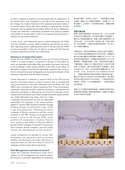of when it expects to publish its annual report with an explanation of the factors that it has considered in arriving at such estimation; and (b) it keeps the market informed of the expected publication date of its annual report along with other updates as appropriate. Further extension may be applied by providing HKEX with (a) an explanation of why such extension is necessary; (b) details of its plans to prepare and publish its annual report; and (c) its proposed announcement in relation to such further extension.

In view of the Joint Statement (and its further guidance), the FAQs and the Chamber's survey, listed companies are advised to review their reporting and/or auditing works and to discuss with the HKEX as soon as possible if they are not able to comply with the financial reporting requirements under the Listing Rules.

# **Disclosure of Inside Information**

Under section 307B(1) of the Securities and Futures Ordinance ("SFO"), a listed company is required to disclose to the public as soon as reasonably practicable after any inside information has come to its knowledge. Under section 307G(1) of the SFO, every officer of the listed company must take all reasonable measures from time-totime to ensure that proper safeguards exist to prevent a breach of the disclosure requirement by the listed company.

Inside information is defined in section 307A of the SFO as any specific information about a listed company that is unpublished and price sensitive. In the Joint Statement and the FAQs, SFC and HKEX have reminded all listed companies that if their businesses, operations, reporting controls, systems, processes or procedures are materially disrupted or affected by the Covid-19 outbreak and/or related travel restrictions, such listed companies should assess whether

any inside information has arisen and if so, make a separate announcement as soon as reasonably practicable. For example, in the announcement dated 31 January 2020 issued by Southern Energy Holdings Group Limited (Stock Code: 1573), it was announced that "following the recent outbreak of Wuhan coronavirus and the current situation in the PRC, Guizhou local government issued a notice on 30 January 2020, which prohibits all corporations in Guizhou Province from resuming work before 9 February 2020 to prevent further outbreak of Corvid-19 coronavirus. The Company strictly complies…and will closely monitor the development of the situation."

Listed companies are advised to review their businesses and operations and to consider whether any disclosure of inside information is required under the SFO as a result of Covid-19 outbreak and the impact that it may bring.

# **Risk Management and Internal Control**

Under the Corporate Governance Code and in relation to risk management and internal control, the board is in principle responsible for evaluating

鑑於聯合聲明(及其進一步指引)、常問問題及本商會 的調查,建議上市公司審視其匯報及/或核數工作,若 無法遵從《上市規則》下的財務報告要求,應盡快與聯 交所商討。

### **披露內幕消息**

根據《證券及期貨條例》第 307B(1) 條,上市公司必須 在知悉任何內幕消息後,在合理地切實可行的範圍內, 盡快向公眾披露有關消息。根據《證券及期貨條例》第 307G(1)條,上市公司的每一名高級人員,均須不時採 取一切合理措施,以確保有妥善的預防措施,防止該上 市公司違反披露規定。

內幕消息在《證券及期貨條例》第307A 條中定義為上 市公司未發布且對價格敏感的任何特定消息。證監會及 聯交所於聯合聲明及常問問題中提醒所有上市公司,若 新型冠狀病毒疫情及/或相關的旅遊限制對上市公司的 業務運作、匯報監控措施、系統、流程或程序造成重大 干擾或影響,有關上市公司應評估是否已出現任何內幕 消息;如是的話,應在合理地切實可行的範圍内,盡快 另行發出公告。例如,南方能源控股集團有限公司(股 份代號:1573)於2020年1月31日發布的公告中表 示:「隨著近期爆發武漢冠狀病毒及中國目前的形勢, 貴州地方政府已於2020年1月30日頒布通知,禁止貴州 省所有企業於2020年2月9日前復工,以避免新型冠狀 病毒進一步爆發。本公司將嚴格遵守…,並將密切監視 其形勢發展。」

建議上市公司審視其業務和營運,考慮是否因新型冠狀 病毒疫情而須根據《證券及期貨條例》披露任何內幕消 息及其可能帶來的影響。